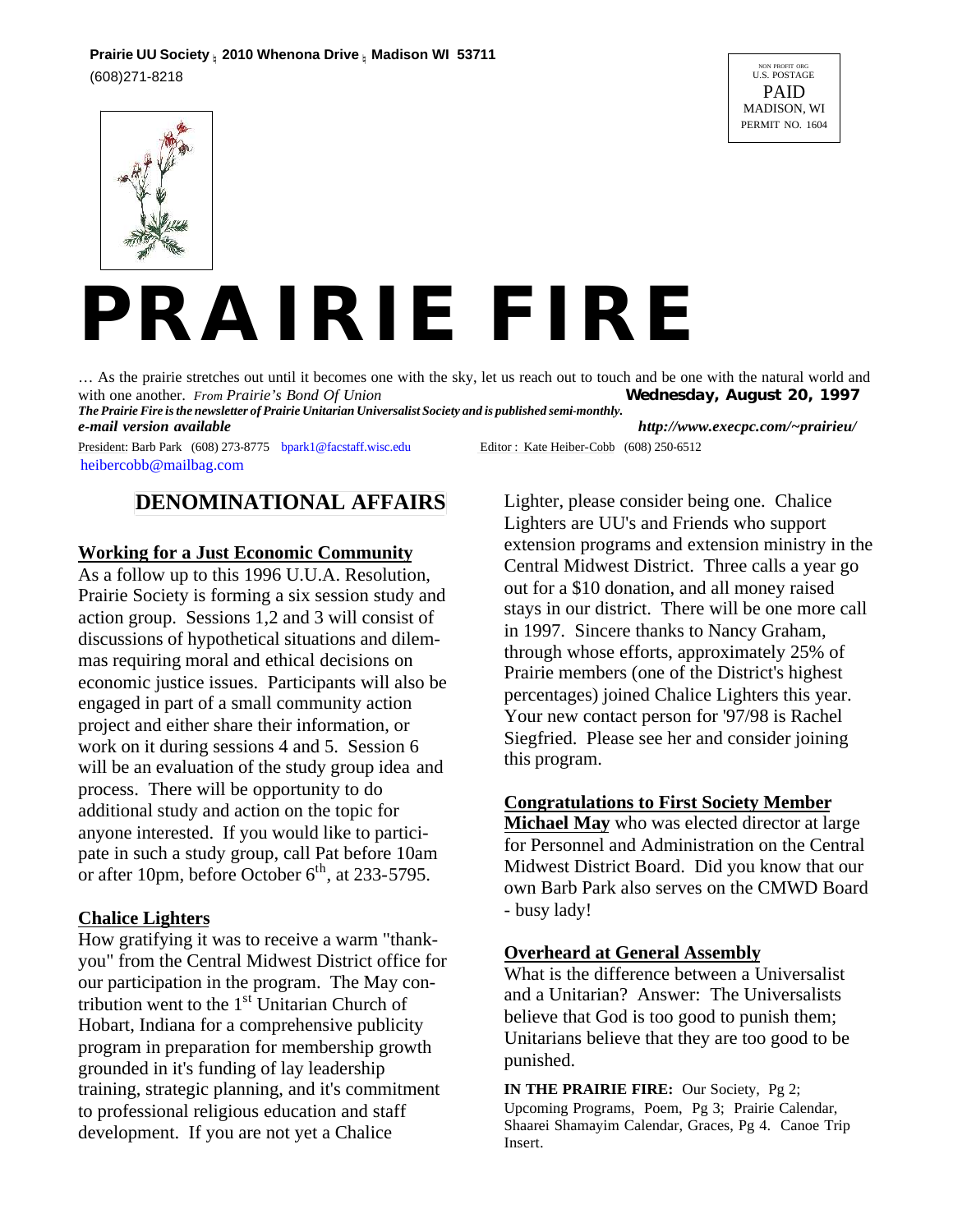

# *PRAIRIE FIRE*

… As the prairie stretches out until it becomes one with the sky, let us reach out to touch and be one with the natural world and with one another. *From Prairie's Bond Of Union* Wednesday, August 20, 1997 with one another. From Prairie's Bond Of Union *The Prairie Fire is the newsletter of Prairie Unitarian Universalist Society and is published semi-monthly.*

*e-mail version available http://www.execpc.com/~prairieu/* President: Barb Park (608) 273-8775 bpark1@facstaff.wisc.edu Editor : Kate Heiber-Cobb (608) 250-6512

heibercobb@mailbag.com

### **DENOMINATIONAL AFFAIRS**

#### **Working for a Just Economic Community**

As a follow up to this 1996 U.U.A. Resolution, Prairie Society is forming a six session study and action group. Sessions 1,2 and 3 will consist of discussions of hypothetical situations and dilemmas requiring moral and ethical decisions on economic justice issues. Participants will also be engaged in part of a small community action project and either share their information, or work on it during sessions 4 and 5. Session 6 will be an evaluation of the study group idea and process. There will be opportunity to do additional study and action on the topic for anyone interested. If you would like to participate in such a study group, call Pat before 10am or after 10pm, before October  $6<sup>th</sup>$ , at 233-5795.

#### **Chalice Lighters**

How gratifying it was to receive a warm "thankyou" from the Central Midwest District office for our participation in the program. The May contribution went to the  $1<sup>st</sup>$  Unitarian Church of Hobart, Indiana for a comprehensive publicity program in preparation for membership growth grounded in it's funding of lay leadership training, strategic planning, and it's commitment to professional religious education and staff development. If you are not yet a Chalice

Lighter, please consider being one. Chalice Lighters are UU's and Friends who support extension programs and extension ministry in the Central Midwest District. Three calls a year go out for a \$10 donation, and all money raised stays in our district. There will be one more call in 1997. Sincere thanks to Nancy Graham, through whose efforts, approximately 25% of Prairie members (one of the District's highest percentages) joined Chalice Lighters this year. Your new contact person for '97/98 is Rachel Siegfried. Please see her and consider joining this program.

#### **Congratulations to First Society Member**

**Michael May** who was elected director at large for Personnel and Administration on the Central Midwest District Board. Did you know that our own Barb Park also serves on the CMWD Board - busy lady!

#### **Overheard at General Assembly**

What is the difference between a Universalist and a Unitarian? Answer: The Universalists believe that God is too good to punish them; Unitarians believe that they are too good to be punished.

**IN THE PRAIRIE FIRE:** Our Society, Pg 2; Upcoming Programs, Poem, Pg 3; Prairie Calendar, Shaarei Shamayim Calendar, Graces, Pg 4. Canoe Trip Insert.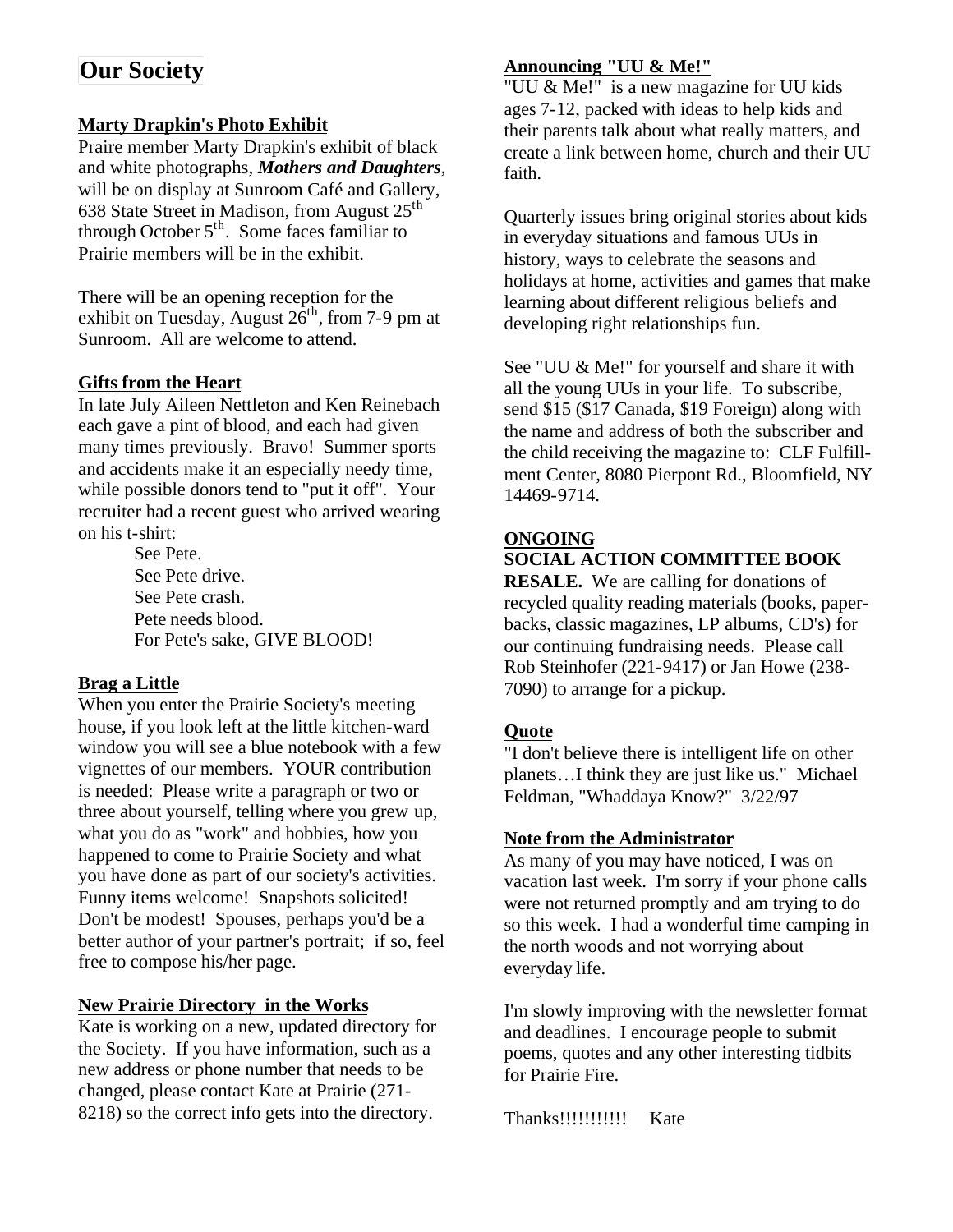# **Our Society**

#### **Marty Drapkin's Photo Exhibit**

Praire member Marty Drapkin's exhibit of black and white photographs, *Mothers and Daughters*, will be on display at Sunroom Café and Gallery, 638 State Street in Madison, from August  $25<sup>th</sup>$ through October  $5<sup>th</sup>$ . Some faces familiar to Prairie members will be in the exhibit.

There will be an opening reception for the exhibit on Tuesday, August  $26<sup>th</sup>$ , from 7-9 pm at Sunroom. All are welcome to attend.

#### **Gifts from the Heart**

In late July Aileen Nettleton and Ken Reinebach each gave a pint of blood, and each had given many times previously. Bravo! Summer sports and accidents make it an especially needy time, while possible donors tend to "put it off". Your recruiter had a recent guest who arrived wearing on his t-shirt:

> See Pete. See Pete drive. See Pete crash. Pete needs blood. For Pete's sake, GIVE BLOOD!

#### **Brag a Little**

When you enter the Prairie Society's meeting house, if you look left at the little kitchen-ward window you will see a blue notebook with a few vignettes of our members. YOUR contribution is needed: Please write a paragraph or two or three about yourself, telling where you grew up, what you do as "work" and hobbies, how you happened to come to Prairie Society and what you have done as part of our society's activities. Funny items welcome! Snapshots solicited! Don't be modest! Spouses, perhaps you'd be a better author of your partner's portrait; if so, feel free to compose his/her page.

#### **New Prairie Directory in the Works**

Kate is working on a new, updated directory for the Society. If you have information, such as a new address or phone number that needs to be changed, please contact Kate at Prairie (271- 8218) so the correct info gets into the directory.

#### **Announcing "UU & Me!"**

"UU & Me!" is a new magazine for UU kids ages 7-12, packed with ideas to help kids and their parents talk about what really matters, and create a link between home, church and their UU faith.

Quarterly issues bring original stories about kids in everyday situations and famous UUs in history, ways to celebrate the seasons and holidays at home, activities and games that make learning about different religious beliefs and developing right relationships fun.

See "UU & Me!" for yourself and share it with all the young UUs in your life. To subscribe, send \$15 (\$17 Canada, \$19 Foreign) along with the name and address of both the subscriber and the child receiving the magazine to: CLF Fulfillment Center, 8080 Pierpont Rd., Bloomfield, NY 14469-9714.

#### **ONGOING**

#### **SOCIAL ACTION COMMITTEE BOOK**

**RESALE.** We are calling for donations of recycled quality reading materials (books, paperbacks, classic magazines, LP albums, CD's) for our continuing fundraising needs. Please call Rob Steinhofer (221-9417) or Jan Howe (238- 7090) to arrange for a pickup.

#### **Quote**

"I don't believe there is intelligent life on other planets…I think they are just like us." Michael Feldman, "Whaddaya Know?" 3/22/97

#### **Note from the Administrator**

As many of you may have noticed, I was on vacation last week. I'm sorry if your phone calls were not returned promptly and am trying to do so this week. I had a wonderful time camping in the north woods and not worrying about everyday life.

I'm slowly improving with the newsletter format and deadlines. I encourage people to submit poems, quotes and any other interesting tidbits for Prairie Fire.

Thanks!!!!!!!!!!!!! Kate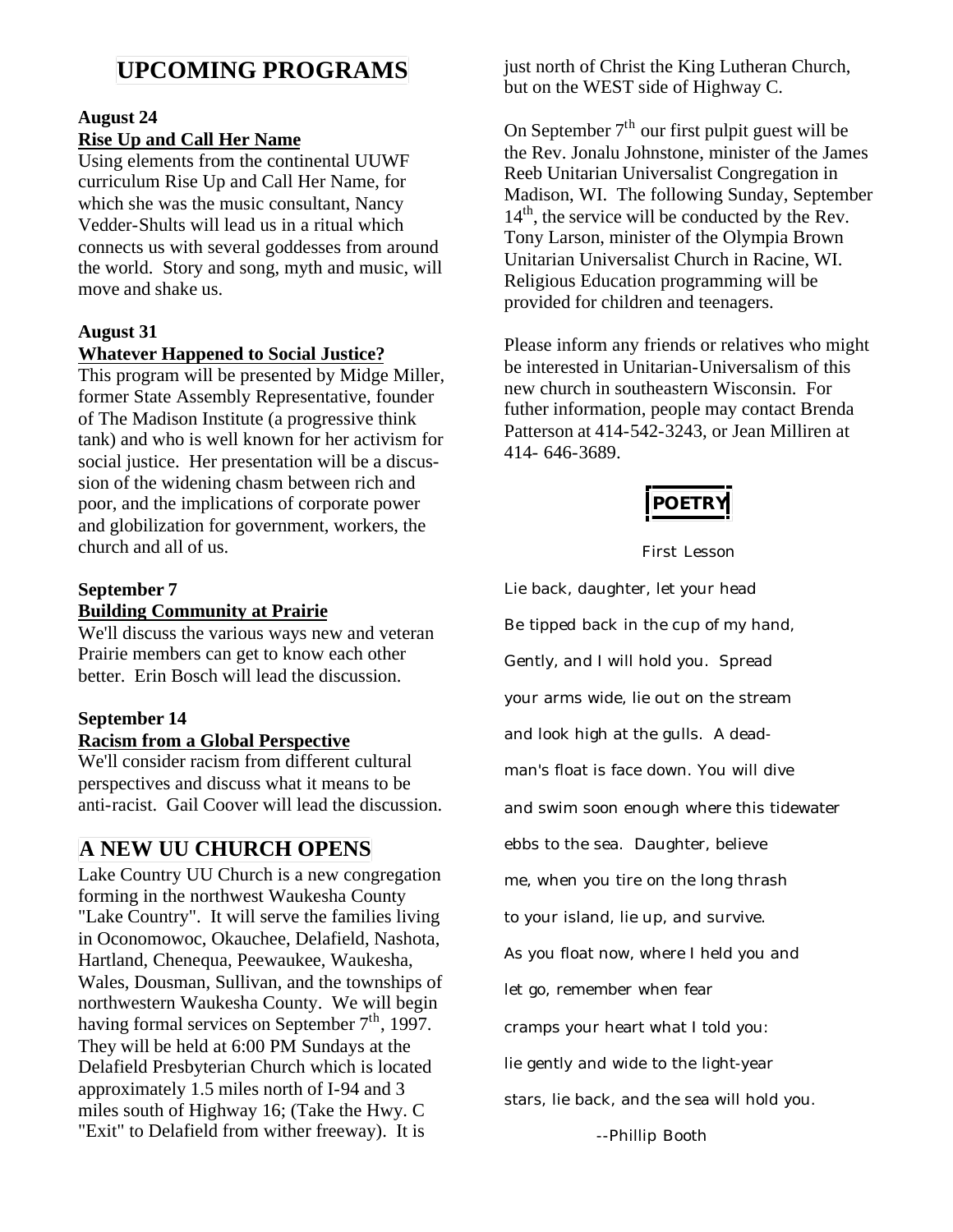# **UPCOMING PROGRAMS**

#### **August 24**

#### **Rise Up and Call Her Name**

Using elements from the continental UUWF curriculum Rise Up and Call Her Name, for which she was the music consultant, Nancy Vedder-Shults will lead us in a ritual which connects us with several goddesses from around the world. Story and song, myth and music, will move and shake us.

#### **August 31**

#### **Whatever Happened to Social Justice?**

This program will be presented by Midge Miller, former State Assembly Representative, founder of The Madison Institute (a progressive think tank) and who is well known for her activism for social justice. Her presentation will be a discussion of the widening chasm between rich and poor, and the implications of corporate power and globilization for government, workers, the church and all of us.

#### **September 7 Building Community at Prairie**

We'll discuss the various ways new and veteran Prairie members can get to know each other better. Erin Bosch will lead the discussion.

# **September 14**

**Racism from a Global Perspective** We'll consider racism from different cultural perspectives and discuss what it means to be anti-racist. Gail Coover will lead the discussion.

# **A NEW UU CHURCH OPENS**

Lake Country UU Church is a new congregation forming in the northwest Waukesha County "Lake Country". It will serve the families living in Oconomowoc, Okauchee, Delafield, Nashota, Hartland, Chenequa, Peewaukee, Waukesha, Wales, Dousman, Sullivan, and the townships of northwestern Waukesha County. We will begin having formal services on September  $7<sup>th</sup>$ , 1997. They will be held at 6:00 PM Sundays at the Delafield Presbyterian Church which is located approximately 1.5 miles north of I-94 and 3 miles south of Highway 16; (Take the Hwy. C "Exit" to Delafield from wither freeway). It is

just north of Christ the King Lutheran Church, but on the WEST side of Highway C.

On September  $7<sup>th</sup>$  our first pulpit guest will be the Rev. Jonalu Johnstone, minister of the James Reeb Unitarian Universalist Congregation in Madison, WI. The following Sunday, September  $14<sup>th</sup>$ , the service will be conducted by the Rev. Tony Larson, minister of the Olympia Brown Unitarian Universalist Church in Racine, WI. Religious Education programming will be provided for children and teenagers.

Please inform any friends or relatives who might be interested in Unitarian-Universalism of this new church in southeastern Wisconsin. For futher information, people may contact Brenda Patterson at 414-542-3243, or Jean Milliren at 414- 646-3689.

*POETRY*

#### First Lesson

Lie back, daughter, let your head Be tipped back in the cup of my hand, Gently, and I will hold you. Spread your arms wide, lie out on the stream and look high at the gulls. A deadman's float is face down. You will dive and swim soon enough where this tidewater ebbs to the sea. Daughter, believe me, when you tire on the long thrash to your island, lie up, and survive. As you float now, where I held you and let go, remember when fear cramps your heart what I told you: lie gently and wide to the light-year stars, lie back, and the sea will hold you.

--Phillip Booth